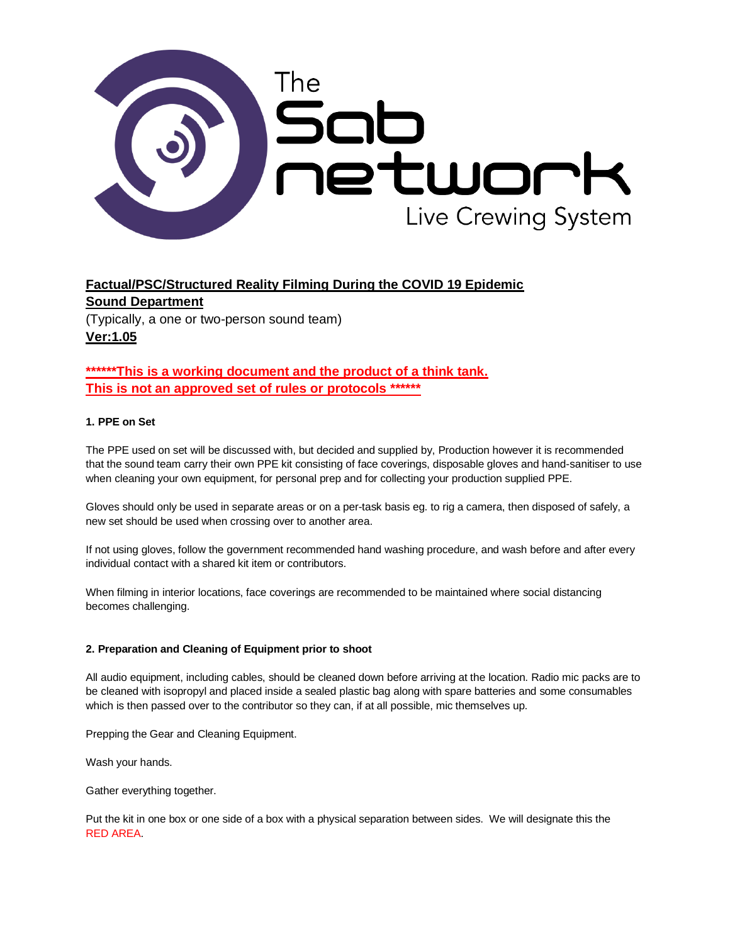

# **Factual/PSC/Structured Reality Filming During the COVID 19 Epidemic Sound Department**  (Typically, a one or two-person sound team)

**\*\*\*\*\*\*This is a working document and the product of a think tank. This is not an approved set of rules or protocols \*\*\*\*\*\*** 

# **1. PPE on Set**

**Ver:1.05**

The PPE used on set will be discussed with, but decided and supplied by, Production however it is recommended that the sound team carry their own PPE kit consisting of face coverings, disposable gloves and hand-sanitiser to use when cleaning your own equipment, for personal prep and for collecting your production supplied PPE.

Gloves should only be used in separate areas or on a per-task basis eg. to rig a camera, then disposed of safely, a new set should be used when crossing over to another area.

If not using gloves, follow the government recommended hand washing procedure, and wash before and after every individual contact with a shared kit item or contributors.

When filming in interior locations, face coverings are recommended to be maintained where social distancing becomes challenging.

## **2. Preparation and Cleaning of Equipment prior to shoot**

All audio equipment, including cables, should be cleaned down before arriving at the location. Radio mic packs are to be cleaned with isopropyl and placed inside a sealed plastic bag along with spare batteries and some consumables which is then passed over to the contributor so they can, if at all possible, mic themselves up.

Prepping the Gear and Cleaning Equipment.

Wash your hands.

Gather everything together.

Put the kit in one box or one side of a box with a physical separation between sides. We will designate this the RED AREA.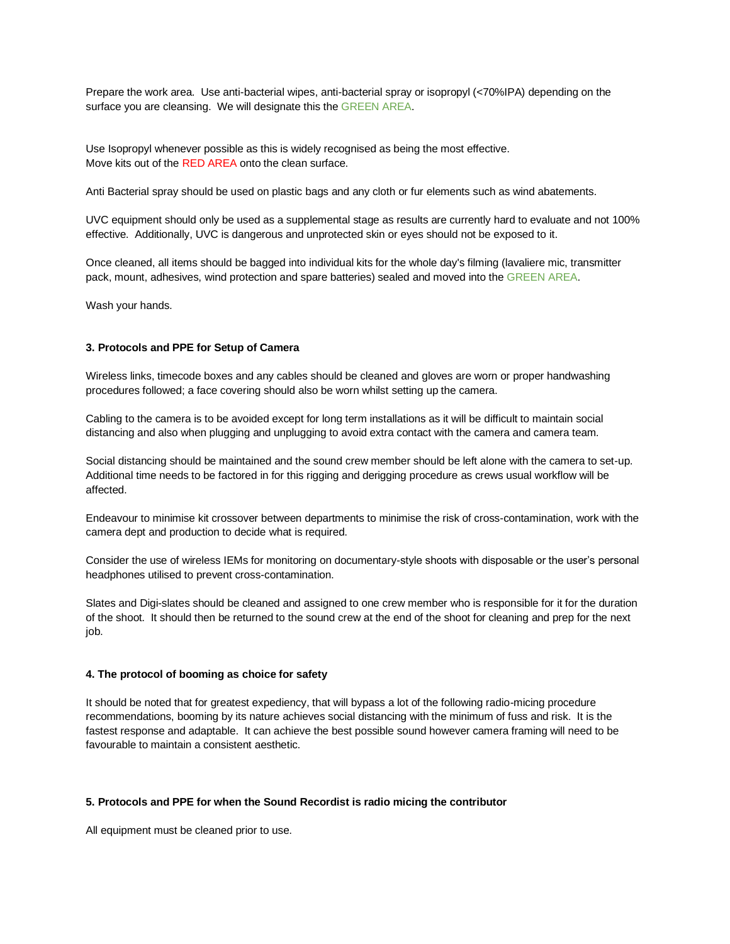Prepare the work area. Use anti-bacterial wipes, anti-bacterial spray or isopropyl (<70%IPA) depending on the surface you are cleansing. We will designate this the GREEN AREA.

Use Isopropyl whenever possible as this is widely recognised as being the most effective. Move kits out of the RED AREA onto the clean surface.

Anti Bacterial spray should be used on plastic bags and any cloth or fur elements such as wind abatements.

UVC equipment should only be used as a supplemental stage as results are currently hard to evaluate and not 100% effective. Additionally, UVC is dangerous and unprotected skin or eyes should not be exposed to it.

Once cleaned, all items should be bagged into individual kits for the whole day's filming (lavaliere mic, transmitter pack, mount, adhesives, wind protection and spare batteries) sealed and moved into the GREEN AREA.

Wash your hands.

# **3. Protocols and PPE for Setup of Camera**

Wireless links, timecode boxes and any cables should be cleaned and gloves are worn or proper handwashing procedures followed; a face covering should also be worn whilst setting up the camera.

Cabling to the camera is to be avoided except for long term installations as it will be difficult to maintain social distancing and also when plugging and unplugging to avoid extra contact with the camera and camera team.

Social distancing should be maintained and the sound crew member should be left alone with the camera to set-up. Additional time needs to be factored in for this rigging and derigging procedure as crews usual workflow will be affected.

Endeavour to minimise kit crossover between departments to minimise the risk of cross-contamination, work with the camera dept and production to decide what is required.

Consider the use of wireless IEMs for monitoring on documentary-style shoots with disposable or the user's personal headphones utilised to prevent cross-contamination.

Slates and Digi-slates should be cleaned and assigned to one crew member who is responsible for it for the duration of the shoot. It should then be returned to the sound crew at the end of the shoot for cleaning and prep for the next job.

#### **4. The protocol of booming as choice for safety**

It should be noted that for greatest expediency, that will bypass a lot of the following radio-micing procedure recommendations, booming by its nature achieves social distancing with the minimum of fuss and risk. It is the fastest response and adaptable. It can achieve the best possible sound however camera framing will need to be favourable to maintain a consistent aesthetic.

#### **5. Protocols and PPE for when the Sound Recordist is radio micing the contributor**

All equipment must be cleaned prior to use.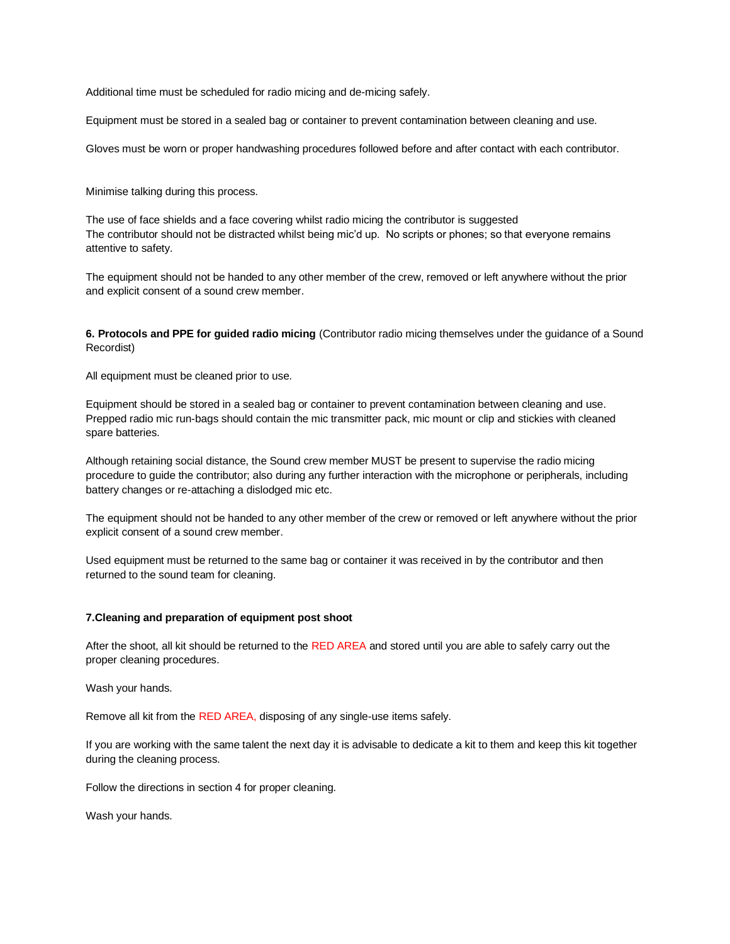Additional time must be scheduled for radio micing and de-micing safely.

Equipment must be stored in a sealed bag or container to prevent contamination between cleaning and use.

Gloves must be worn or proper handwashing procedures followed before and after contact with each contributor.

Minimise talking during this process.

The use of face shields and a face covering whilst radio micing the contributor is suggested The contributor should not be distracted whilst being mic'd up. No scripts or phones; so that everyone remains attentive to safety.

The equipment should not be handed to any other member of the crew, removed or left anywhere without the prior and explicit consent of a sound crew member.

**6. Protocols and PPE for guided radio micing** (Contributor radio micing themselves under the guidance of a Sound Recordist)

All equipment must be cleaned prior to use.

Equipment should be stored in a sealed bag or container to prevent contamination between cleaning and use. Prepped radio mic run-bags should contain the mic transmitter pack, mic mount or clip and stickies with cleaned spare batteries.

Although retaining social distance, the Sound crew member MUST be present to supervise the radio micing procedure to guide the contributor; also during any further interaction with the microphone or peripherals, including battery changes or re-attaching a dislodged mic etc.

The equipment should not be handed to any other member of the crew or removed or left anywhere without the prior explicit consent of a sound crew member.

Used equipment must be returned to the same bag or container it was received in by the contributor and then returned to the sound team for cleaning.

#### **7.Cleaning and preparation of equipment post shoot**

After the shoot, all kit should be returned to the RED AREA and stored until you are able to safely carry out the proper cleaning procedures.

Wash your hands.

Remove all kit from the RED AREA, disposing of any single-use items safely.

If you are working with the same talent the next day it is advisable to dedicate a kit to them and keep this kit together during the cleaning process.

Follow the directions in section 4 for proper cleaning.

Wash your hands.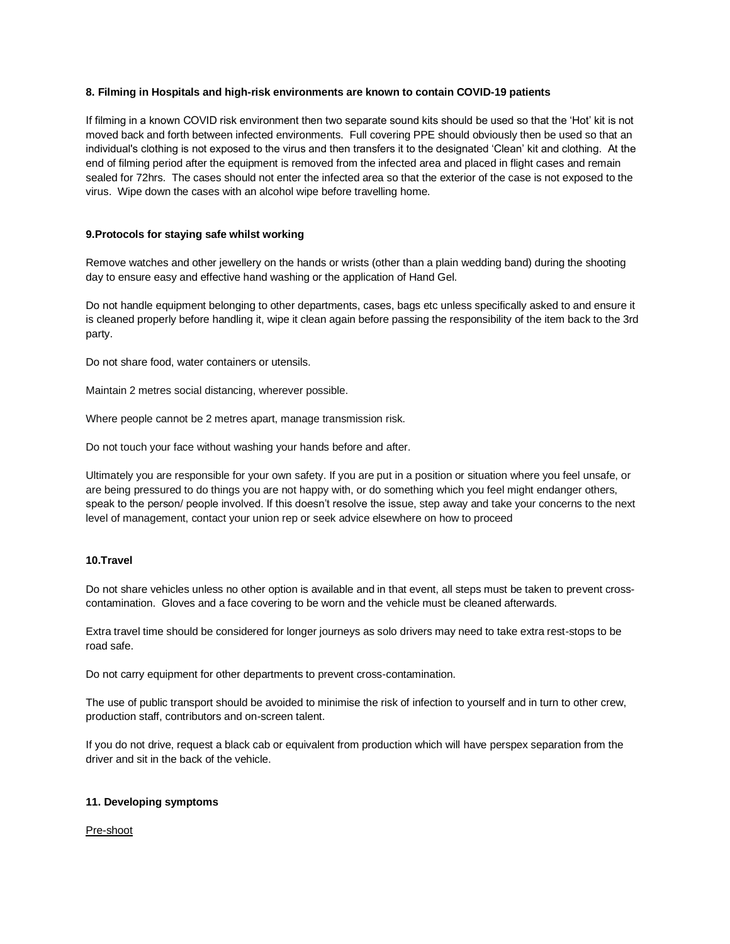#### **8. Filming in Hospitals and high-risk environments are known to contain COVID-19 patients**

If filming in a known COVID risk environment then two separate sound kits should be used so that the 'Hot' kit is not moved back and forth between infected environments. Full covering PPE should obviously then be used so that an individual's clothing is not exposed to the virus and then transfers it to the designated 'Clean' kit and clothing. At the end of filming period after the equipment is removed from the infected area and placed in flight cases and remain sealed for 72hrs. The cases should not enter the infected area so that the exterior of the case is not exposed to the virus. Wipe down the cases with an alcohol wipe before travelling home.

## **9.Protocols for staying safe whilst working**

Remove watches and other jewellery on the hands or wrists (other than a plain wedding band) during the shooting day to ensure easy and effective hand washing or the application of Hand Gel.

Do not handle equipment belonging to other departments, cases, bags etc unless specifically asked to and ensure it is cleaned properly before handling it, wipe it clean again before passing the responsibility of the item back to the 3rd party.

Do not share food, water containers or utensils.

Maintain 2 metres social distancing, wherever possible.

Where people cannot be 2 metres apart, manage transmission risk.

Do not touch your face without washing your hands before and after.

Ultimately you are responsible for your own safety. If you are put in a position or situation where you feel unsafe, or are being pressured to do things you are not happy with, or do something which you feel might endanger others, speak to the person/ people involved. If this doesn't resolve the issue, step away and take your concerns to the next level of management, contact your union rep or seek advice elsewhere on how to proceed

#### **10.Travel**

Do not share vehicles unless no other option is available and in that event, all steps must be taken to prevent crosscontamination. Gloves and a face covering to be worn and the vehicle must be cleaned afterwards.

Extra travel time should be considered for longer journeys as solo drivers may need to take extra rest-stops to be road safe.

Do not carry equipment for other departments to prevent cross-contamination.

The use of public transport should be avoided to minimise the risk of infection to yourself and in turn to other crew, production staff, contributors and on-screen talent.

If you do not drive, request a black cab or equivalent from production which will have perspex separation from the driver and sit in the back of the vehicle.

#### **11. Developing symptoms**

Pre-shoot